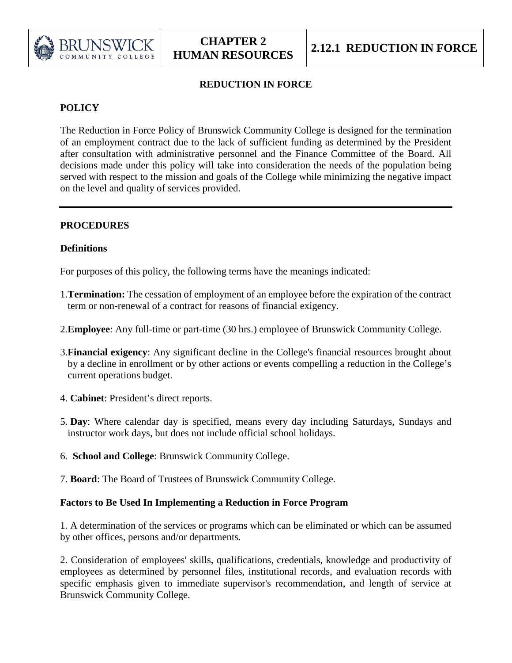

# **REDUCTION IN FORCE**

# **POLICY**

The Reduction in Force Policy of Brunswick Community College is designed for the termination of an employment contract due to the lack of sufficient funding as determined by the President after consultation with administrative personnel and the Finance Committee of the Board. All decisions made under this policy will take into consideration the needs of the population being served with respect to the mission and goals of the College while minimizing the negative impact on the level and quality of services provided.

## **PROCEDURES**

## **Definitions**

For purposes of this policy, the following terms have the meanings indicated:

- 1.**Termination:** The cessation of employment of an employee before the expiration of the contract term or non-renewal of a contract for reasons of financial exigency.
- 2.**Employee**: Any full-time or part-time (30 hrs.) employee of Brunswick Community College.
- 3.**Financial exigency**: Any significant decline in the College's financial resources brought about by a decline in enrollment or by other actions or events compelling a reduction in the College's current operations budget.
- 4. **Cabinet**: President's direct reports.
- 5. **Day**: Where calendar day is specified, means every day including Saturdays, Sundays and instructor work days, but does not include official school holidays.
- 6. **School and College**: Brunswick Community College.
- 7. **Board**: The Board of Trustees of Brunswick Community College.

# **Factors to Be Used In Implementing a Reduction in Force Program**

1. A determination of the services or programs which can be eliminated or which can be assumed by other offices, persons and/or departments.

2. Consideration of employees' skills, qualifications, credentials, knowledge and productivity of employees as determined by personnel files, institutional records, and evaluation records with specific emphasis given to immediate supervisor's recommendation, and length of service at Brunswick Community College.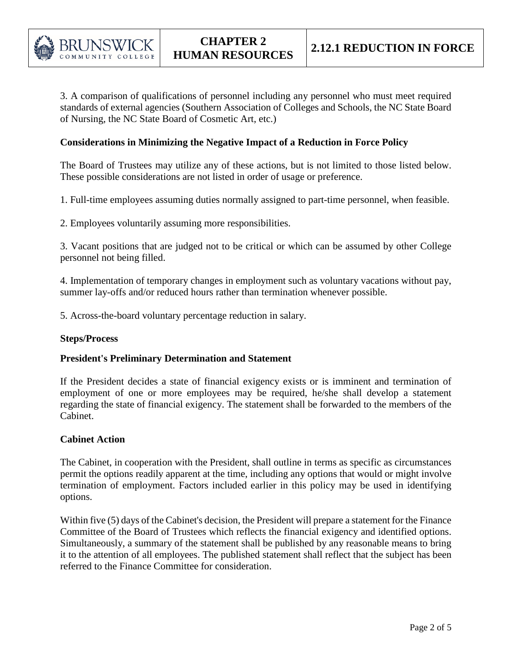

3. A comparison of qualifications of personnel including any personnel who must meet required standards of external agencies (Southern Association of Colleges and Schools, the NC State Board of Nursing, the NC State Board of Cosmetic Art, etc.)

### **Considerations in Minimizing the Negative Impact of a Reduction in Force Policy**

The Board of Trustees may utilize any of these actions, but is not limited to those listed below. These possible considerations are not listed in order of usage or preference.

1. Full-time employees assuming duties normally assigned to part-time personnel, when feasible.

2. Employees voluntarily assuming more responsibilities.

3. Vacant positions that are judged not to be critical or which can be assumed by other College personnel not being filled.

4. Implementation of temporary changes in employment such as voluntary vacations without pay, summer lay-offs and/or reduced hours rather than termination whenever possible.

5. Across-the-board voluntary percentage reduction in salary.

#### **Steps/Process**

#### **President's Preliminary Determination and Statement**

If the President decides a state of financial exigency exists or is imminent and termination of employment of one or more employees may be required, he/she shall develop a statement regarding the state of financial exigency. The statement shall be forwarded to the members of the Cabinet.

#### **Cabinet Action**

The Cabinet, in cooperation with the President, shall outline in terms as specific as circumstances permit the options readily apparent at the time, including any options that would or might involve termination of employment. Factors included earlier in this policy may be used in identifying options.

Within five (5) days of the Cabinet's decision, the President will prepare a statement for the Finance Committee of the Board of Trustees which reflects the financial exigency and identified options. Simultaneously, a summary of the statement shall be published by any reasonable means to bring it to the attention of all employees. The published statement shall reflect that the subject has been referred to the Finance Committee for consideration.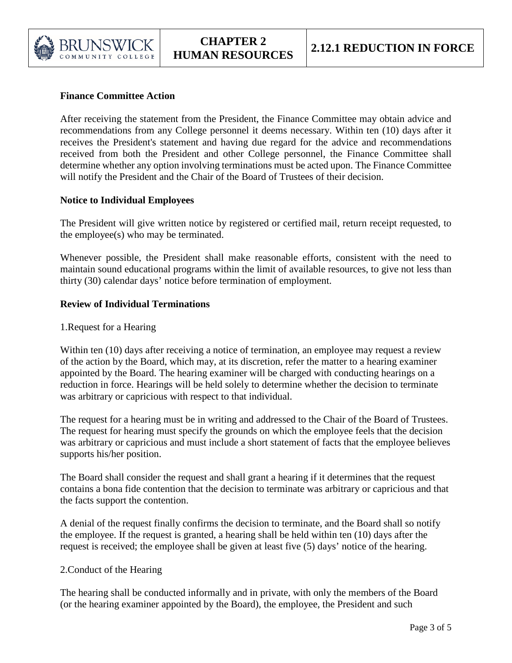

# **Finance Committee Action**

After receiving the statement from the President, the Finance Committee may obtain advice and recommendations from any College personnel it deems necessary. Within ten (10) days after it receives the President's statement and having due regard for the advice and recommendations received from both the President and other College personnel, the Finance Committee shall determine whether any option involving terminations must be acted upon. The Finance Committee will notify the President and the Chair of the Board of Trustees of their decision.

## **Notice to Individual Employees**

The President will give written notice by registered or certified mail, return receipt requested, to the employee(s) who may be terminated.

Whenever possible, the President shall make reasonable efforts, consistent with the need to maintain sound educational programs within the limit of available resources, to give not less than thirty (30) calendar days' notice before termination of employment.

### **Review of Individual Terminations**

1.Request for a Hearing

Within ten (10) days after receiving a notice of termination, an employee may request a review of the action by the Board, which may, at its discretion, refer the matter to a hearing examiner appointed by the Board. The hearing examiner will be charged with conducting hearings on a reduction in force. Hearings will be held solely to determine whether the decision to terminate was arbitrary or capricious with respect to that individual.

The request for a hearing must be in writing and addressed to the Chair of the Board of Trustees. The request for hearing must specify the grounds on which the employee feels that the decision was arbitrary or capricious and must include a short statement of facts that the employee believes supports his/her position.

The Board shall consider the request and shall grant a hearing if it determines that the request contains a bona fide contention that the decision to terminate was arbitrary or capricious and that the facts support the contention.

A denial of the request finally confirms the decision to terminate, and the Board shall so notify the employee. If the request is granted, a hearing shall be held within ten (10) days after the request is received; the employee shall be given at least five (5) days' notice of the hearing.

#### 2.Conduct of the Hearing

The hearing shall be conducted informally and in private, with only the members of the Board (or the hearing examiner appointed by the Board), the employee, the President and such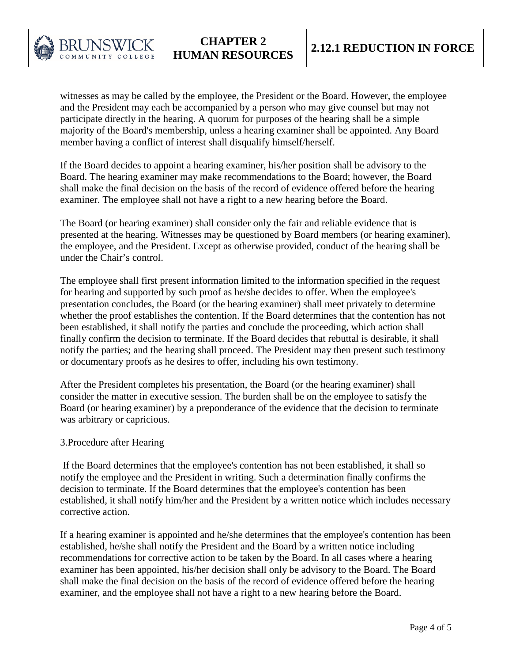

witnesses as may be called by the employee, the President or the Board. However, the employee and the President may each be accompanied by a person who may give counsel but may not participate directly in the hearing. A quorum for purposes of the hearing shall be a simple majority of the Board's membership, unless a hearing examiner shall be appointed. Any Board member having a conflict of interest shall disqualify himself/herself.

If the Board decides to appoint a hearing examiner, his/her position shall be advisory to the Board. The hearing examiner may make recommendations to the Board; however, the Board shall make the final decision on the basis of the record of evidence offered before the hearing examiner. The employee shall not have a right to a new hearing before the Board.

 The Board (or hearing examiner) shall consider only the fair and reliable evidence that is presented at the hearing. Witnesses may be questioned by Board members (or hearing examiner), the employee, and the President. Except as otherwise provided, conduct of the hearing shall be under the Chair's control.

The employee shall first present information limited to the information specified in the request for hearing and supported by such proof as he/she decides to offer. When the employee's presentation concludes, the Board (or the hearing examiner) shall meet privately to determine whether the proof establishes the contention. If the Board determines that the contention has not been established, it shall notify the parties and conclude the proceeding, which action shall finally confirm the decision to terminate. If the Board decides that rebuttal is desirable, it shall notify the parties; and the hearing shall proceed. The President may then present such testimony or documentary proofs as he desires to offer, including his own testimony.

 After the President completes his presentation, the Board (or the hearing examiner) shall consider the matter in executive session. The burden shall be on the employee to satisfy the Board (or hearing examiner) by a preponderance of the evidence that the decision to terminate was arbitrary or capricious.

#### 3.Procedure after Hearing

If the Board determines that the employee's contention has not been established, it shall so notify the employee and the President in writing. Such a determination finally confirms the decision to terminate. If the Board determines that the employee's contention has been established, it shall notify him/her and the President by a written notice which includes necessary corrective action.

 If a hearing examiner is appointed and he/she determines that the employee's contention has been established, he/she shall notify the President and the Board by a written notice including recommendations for corrective action to be taken by the Board. In all cases where a hearing examiner has been appointed, his/her decision shall only be advisory to the Board. The Board shall make the final decision on the basis of the record of evidence offered before the hearing examiner, and the employee shall not have a right to a new hearing before the Board.